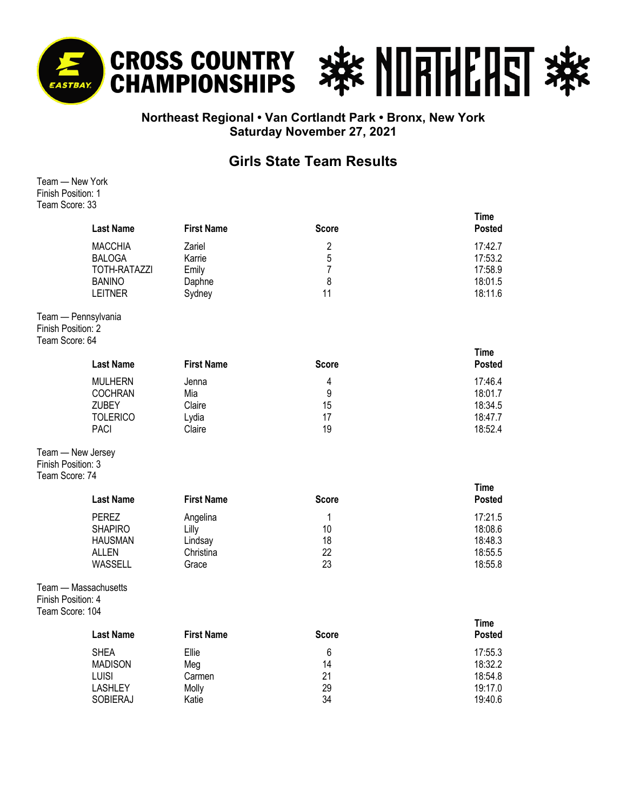



## **Northeast Regional • Van Cortlandt Park • Bronx, New York Saturday November 27, 2021**

## **Girls State Team Results**

Team — New York Finish Position: 1 Team Score: 33

|                                       | <b>Last Name</b>                                                                          | <b>First Name</b>                                  | <b>Score</b>                            | <b>Time</b><br>Posted                               |
|---------------------------------------|-------------------------------------------------------------------------------------------|----------------------------------------------------|-----------------------------------------|-----------------------------------------------------|
|                                       | <b>MACCHIA</b><br><b>BALOGA</b><br><b>TOTH-RATAZZI</b><br><b>BANINO</b><br><b>LEITNER</b> | Zariel<br>Karrie<br>Emily<br>Daphne<br>Sydney      | $\overline{2}$<br>5<br>7<br>8<br>11     | 17:42.7<br>17:53.2<br>17:58.9<br>18:01.5<br>18:11.6 |
| Finish Position: 2<br>Team Score: 64  | Team - Pennsylvania                                                                       |                                                    |                                         |                                                     |
|                                       | <b>Last Name</b>                                                                          | <b>First Name</b>                                  | <b>Score</b>                            | <b>Time</b><br><b>Posted</b>                        |
|                                       | <b>MULHERN</b><br><b>COCHRAN</b><br><b>ZUBEY</b><br><b>TOLERICO</b><br><b>PACI</b>        | Jenna<br>Mia<br>Claire<br>Lydia<br>Claire          | 4<br>9<br>15<br>17<br>19                | 17:46.4<br>18:01.7<br>18:34.5<br>18:47.7<br>18:52.4 |
| Finish Position: 3<br>Team Score: 74  | Team - New Jersey                                                                         |                                                    |                                         |                                                     |
|                                       | <b>Last Name</b>                                                                          | <b>First Name</b>                                  | <b>Score</b>                            | <b>Time</b><br><b>Posted</b>                        |
|                                       | <b>PEREZ</b><br><b>SHAPIRO</b><br><b>HAUSMAN</b><br><b>ALLEN</b><br>WASSELL               | Angelina<br>Lilly<br>Lindsay<br>Christina<br>Grace | 1<br>10<br>18<br>22<br>23               | 17:21.5<br>18:08.6<br>18:48.3<br>18:55.5<br>18:55.8 |
| Finish Position: 4<br>Team Score: 104 | Team - Massachusetts                                                                      |                                                    |                                         |                                                     |
|                                       | <b>Last Name</b>                                                                          | <b>First Name</b>                                  | <b>Score</b>                            | <b>Time</b><br><b>Posted</b>                        |
|                                       | <b>SHEA</b><br><b>MADISON</b><br>LUISI<br><b>LASHLEY</b><br><b>SOBIERAJ</b>               | Ellie<br>Meg<br>Carmen<br>Molly<br>Katie           | $6\phantom{1}6$<br>14<br>21<br>29<br>34 | 17:55.3<br>18:32.2<br>18:54.8<br>19:17.0<br>19:40.6 |